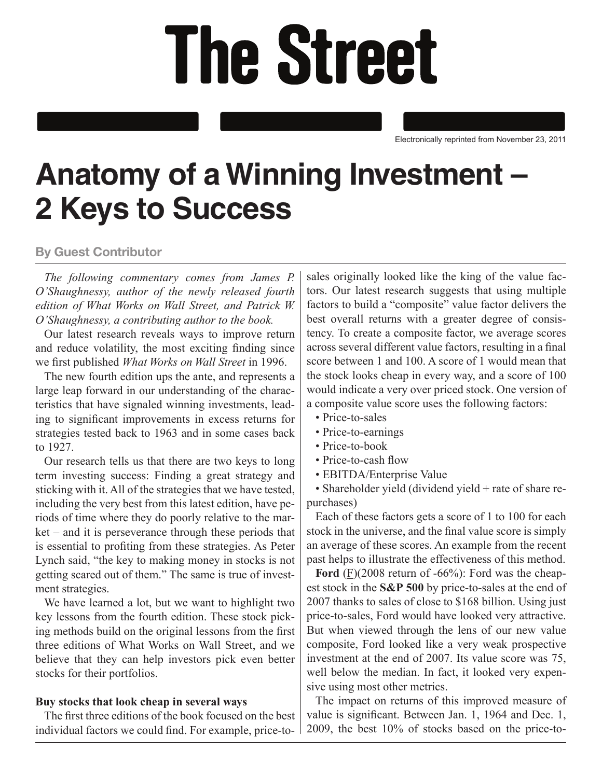# **The Street**

Electronically reprinted from November 23, 2011

## **Anatomy of a Winning Investment – 2 Keys to Success**

### **By Guest Contributor**

*The following commentary comes from James P. O'Shaughnessy, author of the newly released fourth edition of What Works on Wall Street, and Patrick W. O'Shaughnessy, a contributing author to the book.* 

Our latest research reveals ways to improve return and reduce volatility, the most exciting finding since we first published *What Works on Wall Street* in 1996.

The new fourth edition ups the ante, and represents a large leap forward in our understanding of the characteristics that have signaled winning investments, leading to significant improvements in excess returns for strategies tested back to 1963 and in some cases back to 1927.

Our research tells us that there are two keys to long term investing success: Finding a great strategy and sticking with it. All of the strategies that we have tested, including the very best from this latest edition, have periods of time where they do poorly relative to the market – and it is perseverance through these periods that is essential to profiting from these strategies. As Peter Lynch said, "the key to making money in stocks is not getting scared out of them." The same is true of investment strategies.

We have learned a lot, but we want to highlight two key lessons from the fourth edition. These stock picking methods build on the original lessons from the first three editions of What Works on Wall Street, and we believe that they can help investors pick even better stocks for their portfolios.

#### **Buy stocks that look cheap in several ways**

The first three editions of the book focused on the best individual factors we could find. For example, price-tosales originally looked like the king of the value factors. Our latest research suggests that using multiple factors to build a "composite" value factor delivers the best overall returns with a greater degree of consistency. To create a composite factor, we average scores across several different value factors, resulting in a final score between 1 and 100. A score of 1 would mean that the stock looks cheap in every way, and a score of 100 would indicate a very over priced stock. One version of a composite value score uses the following factors:

- Price-to-sales
- Price-to-earnings
- Price-to-book
- Price-to-cash flow
- EBITDA/Enterprise Value

• Shareholder yield (dividend yield + rate of share repurchases)

Each of these factors gets a score of 1 to 100 for each stock in the universe, and the final value score is simply an average of these scores. An example from the recent past helps to illustrate the effectiveness of this method.

**Ford** (F)(2008 return of -66%): Ford was the cheapest stock in the **S&P 500** by price-to-sales at the end of 2007 thanks to sales of close to \$168 billion. Using just price-to-sales, Ford would have looked very attractive. But when viewed through the lens of our new value composite, Ford looked like a very weak prospective investment at the end of 2007. Its value score was 75, well below the median. In fact, it looked very expensive using most other metrics.

The impact on returns of this improved measure of value is significant. Between Jan. 1, 1964 and Dec. 1, 2009, the best 10% of stocks based on the price-to-